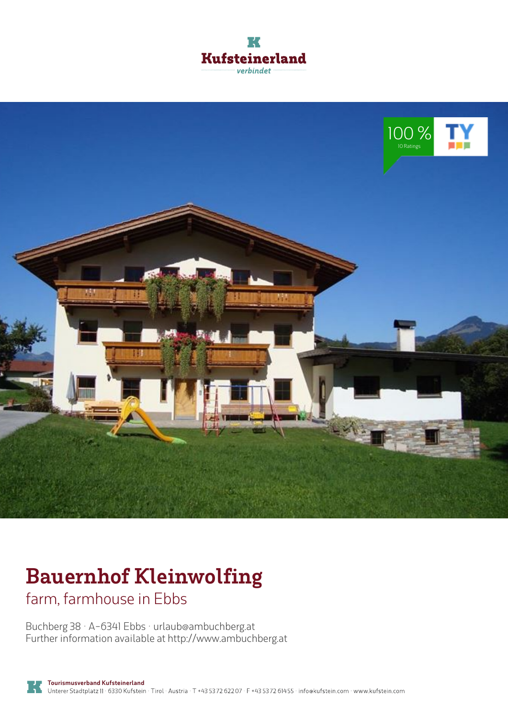



# **Bauernhof Kleinwolfing**

farm, farmhouse in Ebbs

Buchberg 38 · A-6341 Ebbs · **urlaub@ambuchberg.at** Further information available at **http://www.ambuchberg.at**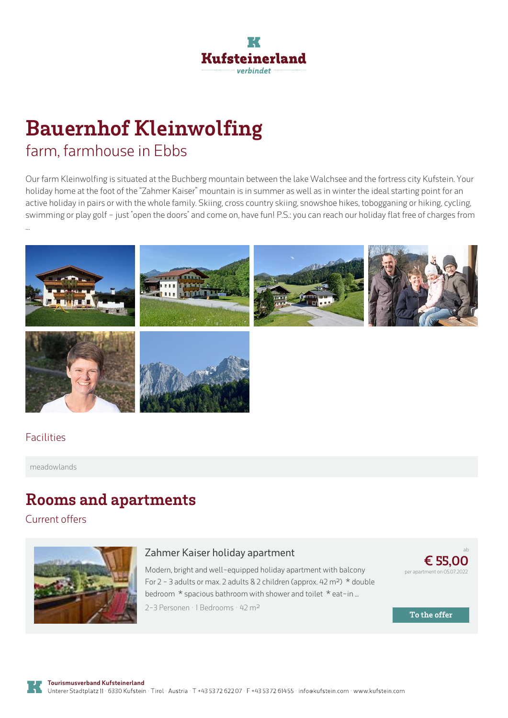

## **Bauernhof Kleinwolfing** farm, farmhouse in Ebbs

Our farm Kleinwolfing is situated at the Buchberg mountain between the lake Walchsee and the fortress city Kufstein. Your holiday home at the foot of the "Zahmer Kaiser" mountain is in summer as well as in winter the ideal starting point for an active holiday in pairs or with the whole family. Skiing, cross country skiing, snowshoe hikes, tobogganing or hiking, cycling, swimming or play golf - just "open the doors" and come on, have fun! P.S.: you can reach our holiday flat free of charges from



#### Facilities

meadowlands

### **Rooms and apartments**

Current offers



#### **Zahmer Kaiser holiday [apartment](https://www.kufstein.com/en/book/ebbs/farm-farmhouse/bauernhof-kleinwolfing.html?utm_medium=PDF&utm_campaign=Vermieter-Prospekt&utm_source=Bauernhof+Kleinwolfing)**

Modern, bright and well-equipped holiday apartment with balcony For 2 - 3 adults or max. 2 adults & 2 children (approx. 42 m<sup>2</sup>)  $*$  double bedroom  $*$  spacious bathroom with shower and toilet  $*$  eat-in ... 2-3 Personen · 1 Bedrooms · 42 <sup>m</sup><sup>²</sup>



**To the offer**